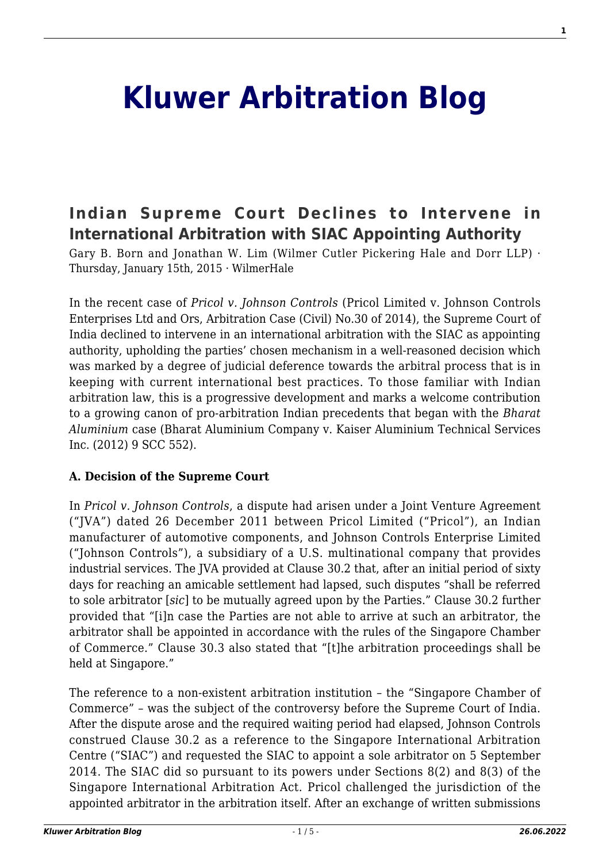# **[Kluwer Arbitration Blog](http://arbitrationblog.kluwerarbitration.com/)**

## **[Indian Supreme Court Declines to Intervene in](http://arbitrationblog.kluwerarbitration.com/2015/01/15/indian-supreme-court-declines-to-intervene-in-international-arbitration-with-siac-appointing-authority/) [International Arbitration with SIAC Appointing Authority](http://arbitrationblog.kluwerarbitration.com/2015/01/15/indian-supreme-court-declines-to-intervene-in-international-arbitration-with-siac-appointing-authority/)**

Gary B. Born and Jonathan W. Lim (Wilmer Cutler Pickering Hale and Dorr LLP) · Thursday, January 15th, 2015 · WilmerHale

In the recent case of *Pricol v. Johnson Controls* (Pricol Limited v. Johnson Controls Enterprises Ltd and Ors, Arbitration Case (Civil) No.30 of 2014), the Supreme Court of India declined to intervene in an international arbitration with the SIAC as appointing authority, upholding the parties' chosen mechanism in a well-reasoned decision which was marked by a degree of judicial deference towards the arbitral process that is in keeping with current international best practices. To those familiar with Indian arbitration law, this is a progressive development and marks a welcome contribution to a growing canon of pro-arbitration Indian precedents that began with the *Bharat Aluminium* case (Bharat Aluminium Company v. Kaiser Aluminium Technical Services Inc. (2012) 9 SCC 552).

#### **A. Decision of the Supreme Court**

In *Pricol v. Johnson Controls*, a dispute had arisen under a Joint Venture Agreement ("JVA") dated 26 December 2011 between Pricol Limited ("Pricol"), an Indian manufacturer of automotive components, and Johnson Controls Enterprise Limited ("Johnson Controls"), a subsidiary of a U.S. multinational company that provides industrial services. The JVA provided at Clause 30.2 that, after an initial period of sixty days for reaching an amicable settlement had lapsed, such disputes "shall be referred to sole arbitrator [*sic*] to be mutually agreed upon by the Parties." Clause 30.2 further provided that "[i]n case the Parties are not able to arrive at such an arbitrator, the arbitrator shall be appointed in accordance with the rules of the Singapore Chamber of Commerce." Clause 30.3 also stated that "[t]he arbitration proceedings shall be held at Singapore."

The reference to a non-existent arbitration institution – the "Singapore Chamber of Commerce" – was the subject of the controversy before the Supreme Court of India. After the dispute arose and the required waiting period had elapsed, Johnson Controls construed Clause 30.2 as a reference to the Singapore International Arbitration Centre ("SIAC") and requested the SIAC to appoint a sole arbitrator on 5 September 2014. The SIAC did so pursuant to its powers under Sections 8(2) and 8(3) of the Singapore International Arbitration Act. Pricol challenged the jurisdiction of the appointed arbitrator in the arbitration itself. After an exchange of written submissions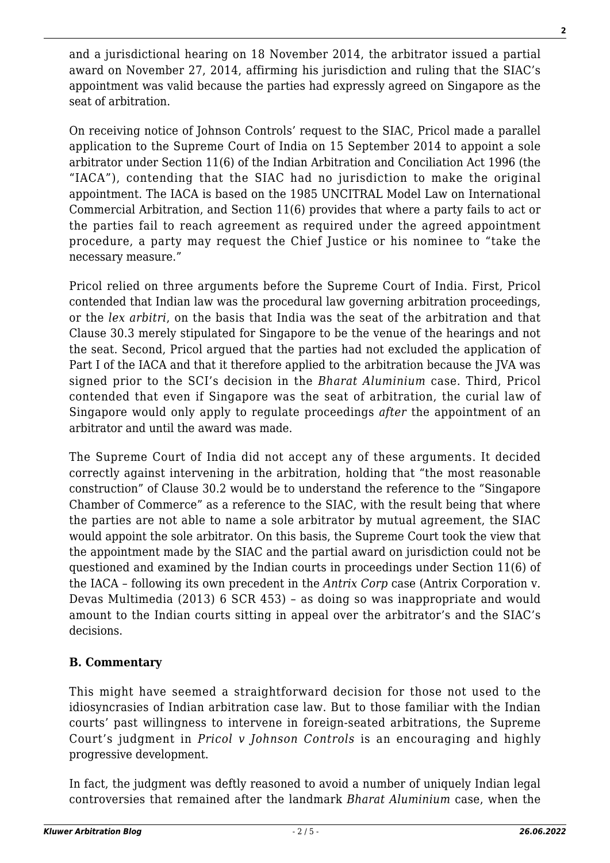and a jurisdictional hearing on 18 November 2014, the arbitrator issued a partial award on November 27, 2014, affirming his jurisdiction and ruling that the SIAC's appointment was valid because the parties had expressly agreed on Singapore as the seat of arbitration.

On receiving notice of Johnson Controls' request to the SIAC, Pricol made a parallel application to the Supreme Court of India on 15 September 2014 to appoint a sole arbitrator under Section 11(6) of the Indian Arbitration and Conciliation Act 1996 (the "IACA"), contending that the SIAC had no jurisdiction to make the original appointment. The IACA is based on the 1985 UNCITRAL Model Law on International Commercial Arbitration, and Section 11(6) provides that where a party fails to act or the parties fail to reach agreement as required under the agreed appointment procedure, a party may request the Chief Justice or his nominee to "take the necessary measure."

Pricol relied on three arguments before the Supreme Court of India. First, Pricol contended that Indian law was the procedural law governing arbitration proceedings, or the *lex arbitri*, on the basis that India was the seat of the arbitration and that Clause 30.3 merely stipulated for Singapore to be the venue of the hearings and not the seat. Second, Pricol argued that the parties had not excluded the application of Part I of the IACA and that it therefore applied to the arbitration because the JVA was signed prior to the SCI's decision in the *Bharat Aluminium* case. Third, Pricol contended that even if Singapore was the seat of arbitration, the curial law of Singapore would only apply to regulate proceedings *after* the appointment of an arbitrator and until the award was made.

The Supreme Court of India did not accept any of these arguments. It decided correctly against intervening in the arbitration, holding that "the most reasonable construction" of Clause 30.2 would be to understand the reference to the "Singapore Chamber of Commerce" as a reference to the SIAC, with the result being that where the parties are not able to name a sole arbitrator by mutual agreement, the SIAC would appoint the sole arbitrator. On this basis, the Supreme Court took the view that the appointment made by the SIAC and the partial award on jurisdiction could not be questioned and examined by the Indian courts in proceedings under Section 11(6) of the IACA – following its own precedent in the *Antrix Corp* case (Antrix Corporation v. Devas Multimedia (2013) 6 SCR 453) – as doing so was inappropriate and would amount to the Indian courts sitting in appeal over the arbitrator's and the SIAC's decisions.

#### **B. Commentary**

This might have seemed a straightforward decision for those not used to the idiosyncrasies of Indian arbitration case law. But to those familiar with the Indian courts' past willingness to intervene in foreign-seated arbitrations, the Supreme Court's judgment in *Pricol v Johnson Controls* is an encouraging and highly progressive development.

In fact, the judgment was deftly reasoned to avoid a number of uniquely Indian legal controversies that remained after the landmark *Bharat Aluminium* case, when the

**2**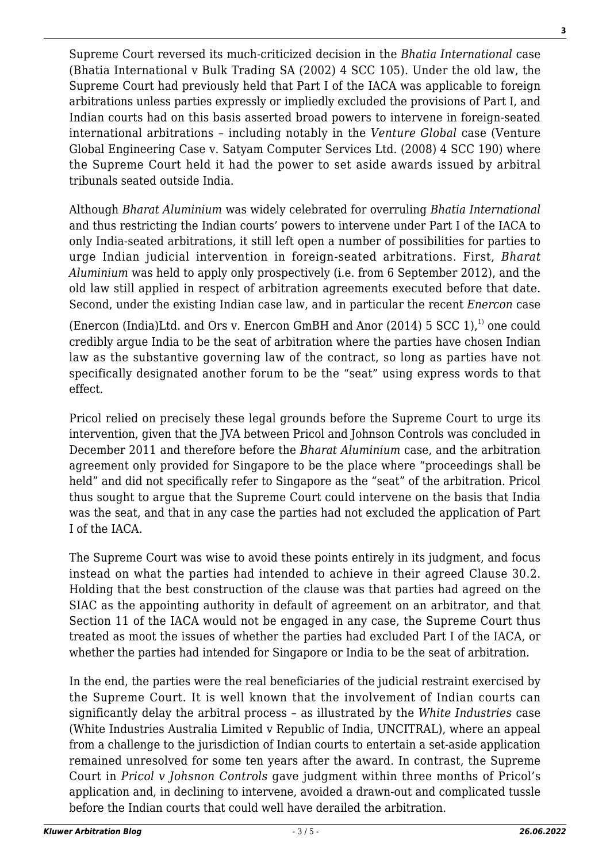Supreme Court reversed its much-criticized decision in the *Bhatia International* case (Bhatia International v Bulk Trading SA (2002) 4 SCC 105). Under the old law, the Supreme Court had previously held that Part I of the IACA was applicable to foreign arbitrations unless parties expressly or impliedly excluded the provisions of Part I, and Indian courts had on this basis asserted broad powers to intervene in foreign-seated international arbitrations – including notably in the *Venture Global* case (Venture Global Engineering Case v. Satyam Computer Services Ltd. (2008) 4 SCC 190) where the Supreme Court held it had the power to set aside awards issued by arbitral tribunals seated outside India.

Although *Bharat Aluminium* was widely celebrated for overruling *Bhatia International* and thus restricting the Indian courts' powers to intervene under Part I of the IACA to only India-seated arbitrations, it still left open a number of possibilities for parties to urge Indian judicial intervention in foreign-seated arbitrations. First, *Bharat Aluminium* was held to apply only prospectively (i.e. from 6 September 2012), and the old law still applied in respect of arbitration agreements executed before that date. Second, under the existing Indian case law, and in particular the recent *Enercon* case

(Enercon (India)Ltd. and Ors v. Enercon GmBH and Anor (2014) 5 SCC 1), $^{1}$  one could credibly argue India to be the seat of arbitration where the parties have chosen Indian law as the substantive governing law of the contract, so long as parties have not specifically designated another forum to be the "seat" using express words to that effect.

Pricol relied on precisely these legal grounds before the Supreme Court to urge its intervention, given that the JVA between Pricol and Johnson Controls was concluded in December 2011 and therefore before the *Bharat Aluminium* case, and the arbitration agreement only provided for Singapore to be the place where "proceedings shall be held" and did not specifically refer to Singapore as the "seat" of the arbitration. Pricol thus sought to argue that the Supreme Court could intervene on the basis that India was the seat, and that in any case the parties had not excluded the application of Part I of the IACA.

The Supreme Court was wise to avoid these points entirely in its judgment, and focus instead on what the parties had intended to achieve in their agreed Clause 30.2. Holding that the best construction of the clause was that parties had agreed on the SIAC as the appointing authority in default of agreement on an arbitrator, and that Section 11 of the IACA would not be engaged in any case, the Supreme Court thus treated as moot the issues of whether the parties had excluded Part I of the IACA, or whether the parties had intended for Singapore or India to be the seat of arbitration.

In the end, the parties were the real beneficiaries of the judicial restraint exercised by the Supreme Court. It is well known that the involvement of Indian courts can significantly delay the arbitral process – as illustrated by the *White Industries* case (White Industries Australia Limited v Republic of India, UNCITRAL), where an appeal from a challenge to the jurisdiction of Indian courts to entertain a set-aside application remained unresolved for some ten years after the award. In contrast, the Supreme Court in *Pricol v Johsnon Controls* gave judgment within three months of Pricol's application and, in declining to intervene, avoided a drawn-out and complicated tussle before the Indian courts that could well have derailed the arbitration.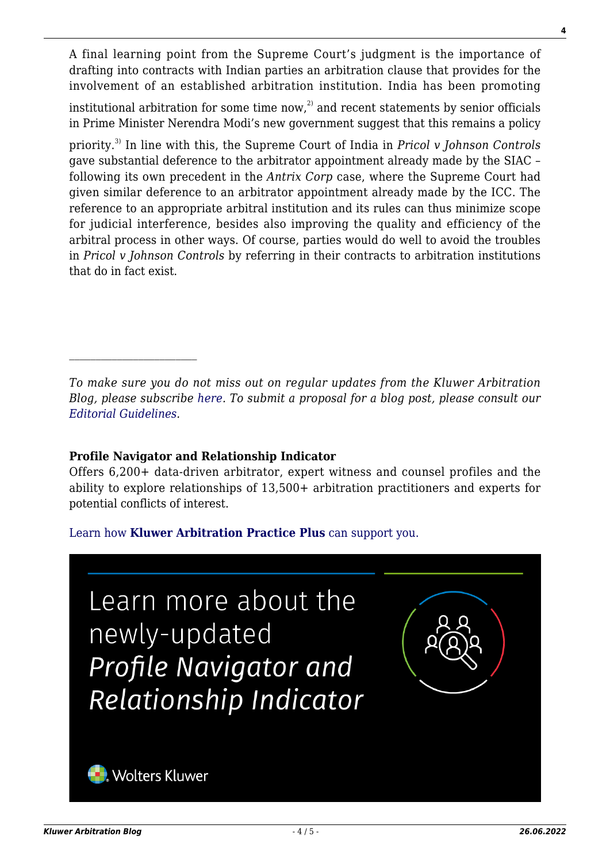A final learning point from the Supreme Court's judgment is the importance of drafting into contracts with Indian parties an arbitration clause that provides for the involvement of an established arbitration institution. India has been promoting

institutional arbitration for some time now.<sup>2)</sup> and recent statements by senior officials in Prime Minister Nerendra Modi's new government suggest that this remains a policy

priority.3) In line with this, the Supreme Court of India in *Pricol v Johnson Controls* gave substantial deference to the arbitrator appointment already made by the SIAC – following its own precedent in the *Antrix Corp* case, where the Supreme Court had given similar deference to an arbitrator appointment already made by the ICC. The reference to an appropriate arbitral institution and its rules can thus minimize scope for judicial interference, besides also improving the quality and efficiency of the arbitral process in other ways. Of course, parties would do well to avoid the troubles in *Pricol v Johnson Controls* by referring in their contracts to arbitration institutions that do in fact exist.

### **Profile Navigator and Relationship Indicator**

 $\mathcal{L}_\text{max}$ 

Offers 6,200+ data-driven arbitrator, expert witness and counsel profiles and the ability to explore relationships of 13,500+ arbitration practitioners and experts for potential conflicts of interest.

#### [Learn how](https://www.wolterskluwer.com/en/solutions/kluwerarbitration/practiceplus?utm_source=arbitrationblog&utm_medium=articleCTA&utm_campaign=article-banner) **[Kluwer Arbitration Practice Plus](https://www.wolterskluwer.com/en/solutions/kluwerarbitration/practiceplus?utm_source=arbitrationblog&utm_medium=articleCTA&utm_campaign=article-banner)** [can support you.](https://www.wolterskluwer.com/en/solutions/kluwerarbitration/practiceplus?utm_source=arbitrationblog&utm_medium=articleCTA&utm_campaign=article-banner)

Learn more about the newly-updated Profile Navigator and **Relationship Indicator** 



*To make sure you do not miss out on regular updates from the Kluwer Arbitration Blog, please subscribe [here](http://arbitrationblog.kluwerarbitration.com/newsletter/). To submit a proposal for a blog post, please consult our [Editorial Guidelines.](http://arbitrationblog.kluwerarbitration.com/editorial-guidelines/)*